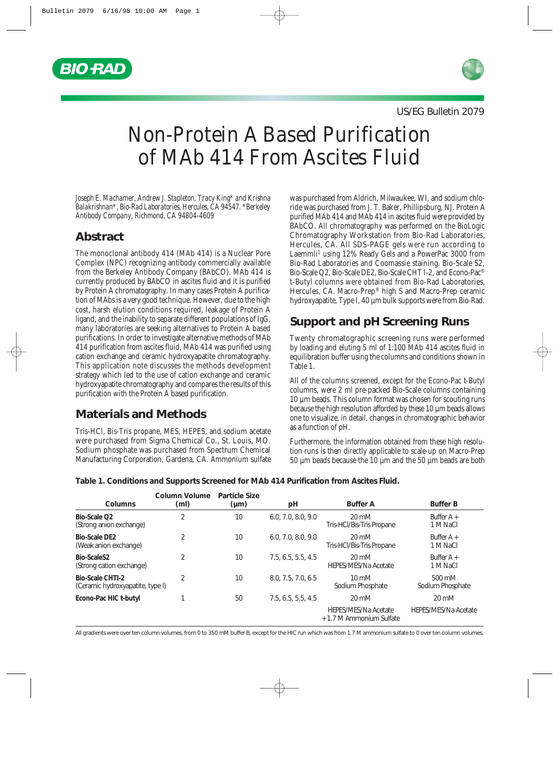



US/EG Bulletin 2079

# Non-Protein A Based Purification of MAb 414 From Ascites Fluid

*Joseph E. Machamer, Andrew J. Stapleton, Tracy King\* and Krishna Balakrishnan\*, Bio-Rad Laboratories, Hercules, CA 94547. \*Berkeley Antibody Company, Richmond, CA 94804-4609*

## **Abstract**

The monoclonal antibody 414 (MAb 414) is a Nuclear Pore Complex (NPC) recognizing antibody commercially available from the Berkeley Antibody Company (BAbCO). MAb 414 is currently produced by BAbCO in ascites fluid and it is purified by Protein A chromatography. In many cases Protein A purification of MAbs is a very good technique. However, due to the high cost, harsh elution conditions required, leakage of Protein A ligand, and the inability to separate different populations of IgG, many laboratories are seeking alternatives to Protein A based purifications. In order to investigate alternative methods of MAb 414 purification from ascites fluid, MAb 414 was purified using cation exchange and ceramic hydroxyapatite chromatography. This application note discusses the methods development strategy which led to the use of cation exchange and ceramic hydroxyapatite chromatography and compares the results of this purification with the Protein A based purification.

## **Materials and Methods**

Tris-HCl, Bis-Tris propane, MES, HEPES, and sodium acetate were purchased from Sigma Chemical Co., St. Louis, MO. Sodium phosphate was purchased from Spectrum Chemical Manufacturing Corporation, Gardena, CA. Ammonium sulfate was purchased from Aldrich, Milwaukee, WI, and sodium chloride was purchased from J. T. Baker, Phillipsburg, NJ. Protein A purified MAb 414 and MAb 414 in ascites fluid were provided by BAbCO. All chromatography was performed on the BioLogic Chromatography Workstation from Bio-Rad Laboratories, Hercules, CA. All SDS-PAGE gels were run according to Laemmli<sup>1</sup> using 12% Ready Gels and a PowerPac 3000 from Bio-Rad Laboratories and Coomassie staining. Bio-Scale S2, Bio-Scale Q2, Bio-Scale DE2, Bio-Scale CHT I-2, and Econo-Pac® t-Butyl columns were obtained from Bio-Rad Laboratories, Hercules, CA. Macro-Prep® high S and Macro-Prep ceramic hydroxyapatite, Type I, 40 µm bulk supports were from Bio-Rad.

## **Support and pH Screening Runs**

Twenty chromatographic screening runs were performed by loading and eluting 5 ml of 1:100 MAb 414 ascites fluid in equilibration buffer using the columns and conditions shown in Table 1.

All of the columns screened, except for the Econo-Pac t-Butyl columns, were 2 ml pre-packed Bio-Scale columns containing 10 µm beads. This column format was chosen for scouting runs because the high resolution afforded by these 10  $\mu$ m beads allows one to visualize, in detail, changes in chromatographic behavior as a function of pH.

Furthermore, the information obtained from these high resolution runs is then directly applicable to scale-up on Macro-Prep 50 µm beads because the 10 µm and the 50 µm beads are both

**Table 1. Conditions and Supports Screened for MAb 414 Purification from Ascites Fluid.** 

| Columns                                                     | <b>Column Volume</b><br>(ml) | Particle Size<br>$(\mu m)$ | рH                 | <b>Buffer A</b>                                         | <b>Buffer B</b>             |
|-------------------------------------------------------------|------------------------------|----------------------------|--------------------|---------------------------------------------------------|-----------------------------|
| Bio-Scale Q2<br>(Strong anion exchange)                     | $\overline{2}$               | 10                         | 6.0, 7.0, 8.0, 9.0 | 20 mM<br>Tris-HCl/Bis-Tris Propane                      | Buffer $A +$<br>1 M NaCl    |
| <b>Bio-Scale DE2</b><br>(Weak anion exchange)               |                              | 10                         | 6.0, 7.0, 8.0, 9.0 | 20 mM<br>Tris-HCl/Bis-Tris Propane                      | Buffer $A +$<br>1 M NaCl    |
| Bio-ScaleS2<br>(Strong cation exchange)                     |                              | 10                         | 7.5, 6.5, 5.5, 4.5 | 20 mM<br><b>HEPES/MES/Na Acetate</b>                    | Buffer $A +$<br>1 M NaCl    |
| <b>Bio-Scale CHTI-2</b><br>(Ceramic hydroxyapatite, type I) | 2                            | 10                         | 8.0, 7.5, 7.0, 6.5 | $10 \text{ mM}$<br>Sodium Phosphate                     | 500 mM<br>Sodium Phosphate  |
| Econo-Pac HIC t-butyl                                       |                              | 50                         | 7.5, 6.5, 5.5, 4.5 | 20 mM                                                   | 20 mM                       |
|                                                             |                              |                            |                    | <b>HEPES/MES/Na Acetate</b><br>+ 1.7 M Ammonium Sulfate | <b>HEPES/MES/Na Acetate</b> |

All gradients were over ten column volumes, from 0 to 350 mM buffer B, except for the HIC run which was from 1.7 M ammonium sulfate to 0 over ten column volumes.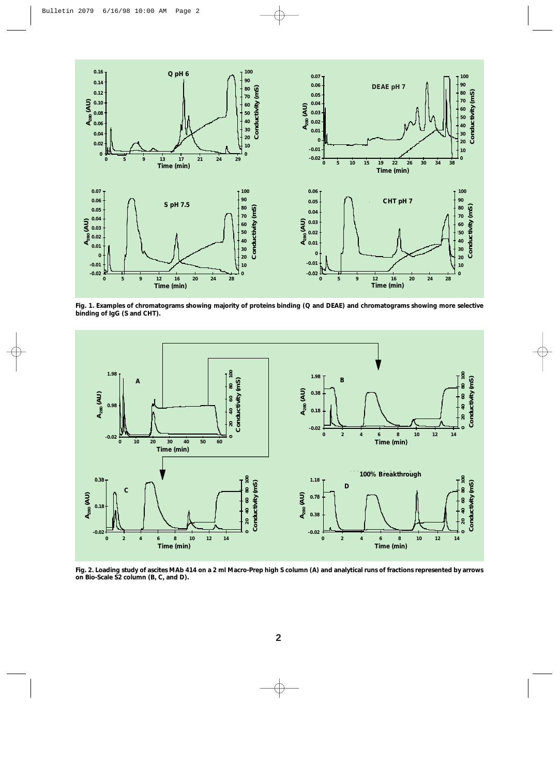

**Fig. 1. Examples of chromatograms showing majority of proteins binding (Q and DEAE) and chromatograms showing more selective binding of IgG (S and CHT).**



**Fig. 2. Loading study of ascites MAb 414 on a 2 ml Macro-Prep high S column (A) and analytical runs of fractions represented by arrows on Bio-Scale S2 column (B, C, and D).**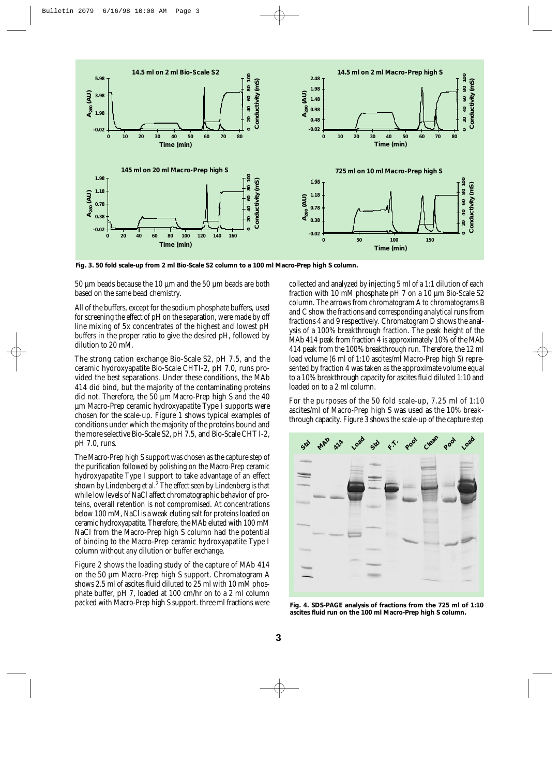

**Fig. 3. 50 fold scale-up from 2 ml Bio-Scale S2 column to a 100 ml Macro-Prep high S column.**

50 µm beads because the 10 µm and the 50 µm beads are both based on the same bead chemistry.

All of the buffers, except for the sodium phosphate buffers, used for screening the effect of pH on the separation, were made by off line mixing of 5x concentrates of the highest and lowest pH buffers in the proper ratio to give the desired pH, followed by dilution to 20 mM.

The strong cation exchange Bio-Scale S2, pH 7.5, and the ceramic hydroxyapatite Bio-Scale CHTI-2, pH 7.0, runs provided the best separations. Under these conditions, the MAb 414 did bind, but the majority of the contaminating proteins did not. Therefore, the 50 µm Macro-Prep high S and the 40 µm Macro-Prep ceramic hydroxyapatite Type I supports were chosen for the scale-up. Figure 1 shows typical examples of conditions under which the majority of the proteins bound and the more selective Bio-Scale S2, pH 7.5, and Bio-Scale CHT I-2, pH 7.0, runs.

The Macro-Prep high S support was chosen as the capture step of the purification followed by polishing on the Macro-Prep ceramic hydroxyapatite Type I support to take advantage of an effect shown by Lindenberg *et al*. <sup>2</sup> The effect seen by Lindenberg is that while low levels of NaCl affect chromatographic behavior of proteins, overall retention is not compromised. At concentrations below 100 mM, NaCl is a weak eluting salt for proteins loaded on ceramic hydroxyapatite. Therefore, the MAb eluted with 100 mM NaCl from the Macro-Prep high S column had the potential of binding to the Macro-Prep ceramic hydroxyapatite Type I column without any dilution or buffer exchange.

Figure 2 shows the loading study of the capture of MAb 414 on the 50 µm Macro-Prep high S support. Chromatogram A shows 2.5 ml of ascites fluid diluted to 25 ml with 10 mM phosphate buffer, pH 7, loaded at 100 cm/hr on to a 2 ml column packed with Macro-Prep high S support. three ml fractions were

collected and analyzed by injecting 5 ml of a 1:1 dilution of each fraction with 10 mM phosphate pH 7 on a 10 µm Bio-Scale S2 column. The arrows from chromatogram A to chromatograms B and C show the fractions and corresponding analytical runs from fractions 4 and 9 respectively. Chromatogram D shows the analysis of a 100% breakthrough fraction. The peak height of the MAb 414 peak from fraction 4 is approximately 10% of the MAb 414 peak from the 100% breakthrough run. Therefore, the 12 ml load volume (6 ml of 1:10 ascites/ml Macro-Prep high S) represented by fraction 4 was taken as the approximate volume equal to a 10% breakthrough capacity for ascites fluid diluted 1:10 and loaded on to a 2 ml column.

For the purposes of the 50 fold scale-up, 7.25 ml of 1:10 ascites/ml of Macro-Prep high S was used as the 10% breakthrough capacity. Figure 3 shows the scale-up of the capture step



**Fig. 4. SDS-PAGE analysis of fractions from the 725 ml of 1:10 ascites fluid run on the 100 ml Macro-Prep high S column.**